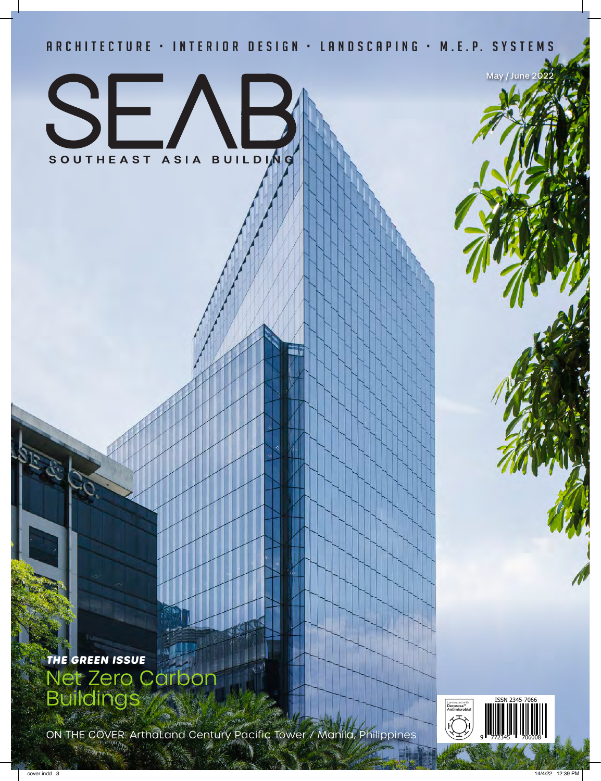### A R C H I T E C T U R E · I N T E R I O R D E S I G N · L A N D S C A P I N G · M . E . P. S Y S T E M S



**THE GREEN ISSUE** ero Carbon Buildings

ON THE COVER: ArthaLand Century Pacific Tower / Manila, Philippines<br>
The Cover of the County of The Cover of Manila, Philippines



May / June 202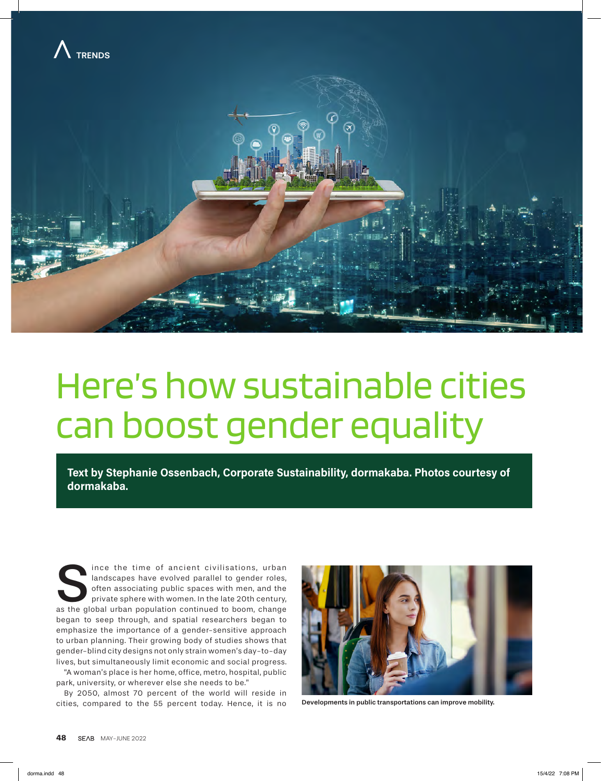



# Here's how sustainable cities can boost gender equality

**Text by Stephanie Ossenbach, Corporate Sustainability, dormakaba. Photos courtesy of dormakaba.** 

Since the time of ancient civilisations, urban landscapes have evolved parallel to gender roles, often associating public spaces with men, and the private sphere with women. In the late 20th century, as the global urban po landscapes have evolved parallel to gender roles, often associating public spaces with men, and the private sphere with women. In the late 20th century, began to seep through, and spatial researchers began to emphasize the importance of a gender-sensitive approach to urban planning. Their growing body of studies shows that gender-blind city designs not only strain women's day-to-day lives, but simultaneously limit economic and social progress. "A woman's place is her home, office, metro, hospital, public

park, university, or wherever else she needs to be."

By 2050, almost 70 percent of the world will reside in cities, compared to the 55 percent today. Hence, it is no



Developments in public transportations can improve mobility.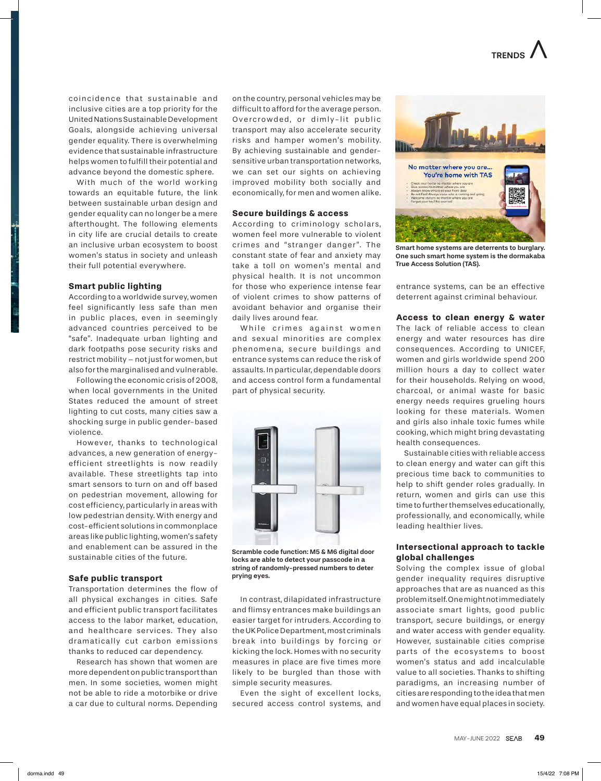coincidence that sustainable and inclusive cities are a top priority for the United Nations Sustainable Development Goals, alongside achieving universal gender equality. There is overwhelming evidence that sustainable infrastructure helps women to fulfill their potential and advance beyond the domestic sphere.

With much of the world working towards an equitable future, the link between sustainable urban design and gender equality can no longer be a mere afterthought. The following elements in city life are crucial details to create an inclusive urban ecosystem to boost women's status in society and unleash their full potential everywhere.

#### **Smart public lighting**

According to a worldwide survey, women feel significantly less safe than men in public places, even in seemingly advanced countries perceived to be "safe". Inadequate urban lighting and dark footpaths pose security risks and restrict mobility – not just for women, but also for the marginalised and vulnerable.

Following the economic crisis of 2008, when local governments in the United States reduced the amount of street lighting to cut costs, many cities saw a shocking surge in public gender-based violence.

However, thanks to technological advances, a new generation of energyefficient streetlights is now readily available. These streetlights tap into smart sensors to turn on and off based on pedestrian movement, allowing for cost efficiency, particularly in areas with low pedestrian density. With energy and cost-efficient solutions in commonplace areas like public lighting, women's safety and enablement can be assured in the sustainable cities of the future.

#### **Safe public transport**

Transportation determines the flow of all physical exchanges in cities. Safe and efficient public transport facilitates access to the labor market, education, and healthcare services. They also dramatically cut carbon emissions thanks to reduced car dependency.

Research has shown that women are more dependent on public transport than men. In some societies, women might not be able to ride a motorbike or drive a car due to cultural norms. Depending on the country, personal vehicles may be difficult to afford for the average person. Overcrowded, or dimly-lit public transport may also accelerate security risks and hamper women's mobility. By achieving sustainable and gendersensitive urban transportation networks, we can set our sights on achieving improved mobility both socially and economically, for men and women alike.

#### **Secure buildings & access**

According to criminology scholars, women feel more vulnerable to violent crimes and "stranger danger ". The constant state of fear and anxiety may take a toll on women's mental and physical health. It is not uncommon for those who experience intense fear of violent crimes to show patterns of avoidant behavior and organise their daily lives around fear.

While crimes against women and sexual minorities are complex phenomena, secure buildings and entrance systems can reduce the risk of assaults. In particular, dependable doors and access control form a fundamental part of physical security.



Scramble code function: M5 & M6 digital door locks are able to detect your passcode in a string of randomly-pressed numbers to deter prying eyes.

In contrast, dilapidated infrastructure and flimsy entrances make buildings an easier target for intruders. According to the UK Police Department, most criminals break into buildings by forcing or kicking the lock. Homes with no security measures in place are five times more likely to be burgled than those with simple security measures.

Even the sight of excellent locks, secured access control systems, and



Smart home systems are deterrents to burglary. One such smart home system is the dormakaba True Access Solution (TAS).

entrance systems, can be an effective deterrent against criminal behaviour.

#### **Access to clean energy & water**

The lack of reliable access to clean energy and water resources has dire consequences. According to UNICEF, women and girls worldwide spend 200 million hours a day to collect water for their households. Relying on wood, charcoal, or animal waste for basic energy needs requires grueling hours looking for these materials. Women and girls also inhale toxic fumes while cooking, which might bring devastating health consequences.

Sustainable cities with reliable access to clean energy and water can gift this precious time back to communities to help to shift gender roles gradually. In return, women and girls can use this time to further themselves educationally, professionally, and economically, while leading healthier lives.

#### **Intersectional approach to tackle global challenges**

Solving the complex issue of global gender inequality requires disruptive approaches that are as nuanced as this problem itself. One might not immediately associate smart lights, good public transport, secure buildings, or energy and water access with gender equality. However, sustainable cities comprise parts of the ecosystems to boost women's status and add incalculable value to all societies. Thanks to shifting paradigms, an increasing number of cities are responding to the idea that men and women have equal places in society.